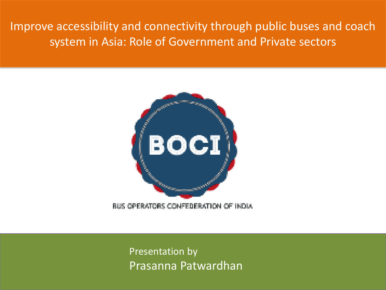Improve accessibility and connectivity through public buses and coach system in Asia: Role of Government and Private sectors



Presentation by Prasanna Patwardhan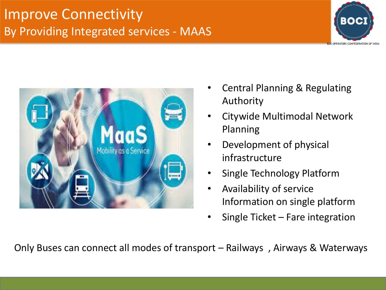



- Central Planning & Regulating Authority
- Citywide Multimodal Network Planning
- Development of physical infrastructure
- Single Technology Platform
- Availability of service Information on single platform
- Single Ticket  $-$  Fare integration

Only Buses can connect all modes of transport – Railways , Airways & Waterways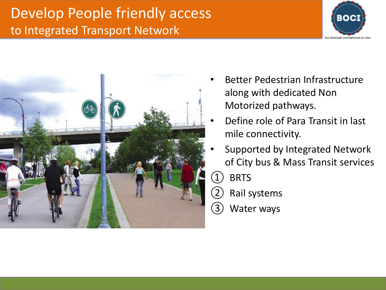## Develop People friendly access to Integrated Transport Network





- Better Pedestrian Infrastructure along with dedicated Non Motorized pathways.
- Define role of Para Transit in last mile connectivity.
- Supported by Integrated Network of City bus & Mass Transit services
	- **BRTS**
	- Rail systems
- ③ Water ways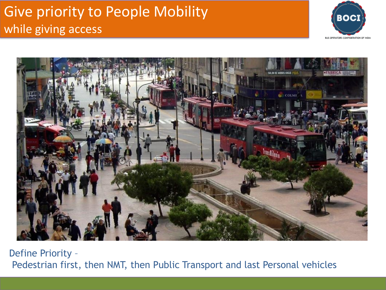# Give priority to People Mobility while giving access





Define Priority – Pedestrian first, then NMT, then Public Transport and last Personal vehicles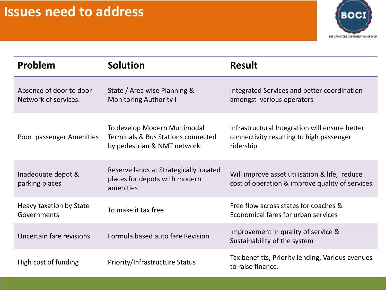

| Problem                                         | <b>Solution</b>                                                                                    | <b>Result</b>                                                                                           |  |
|-------------------------------------------------|----------------------------------------------------------------------------------------------------|---------------------------------------------------------------------------------------------------------|--|
| Absence of door to door<br>Network of services. | State / Area wise Planning &<br>Monitoring Authority I                                             | Integrated Services and better coordination<br>amongst various operators                                |  |
| Poor passenger Amenities                        | To develop Modern Multimodal<br>Terminals & Bus Stations connected<br>by pedestrian & NMT network. | Infrastructural Integration will ensure better<br>connectivity resulting to high passenger<br>ridership |  |
| Inadequate depot &<br>parking places            | Reserve lands at Strategically located<br>places for depots with modern<br>amenities               | Will improve asset utilisation & life, reduce<br>cost of operation & improve quality of services        |  |
| Heavy taxation by State<br>Governments          | To make it tax free                                                                                | Free flow across states for coaches &<br>Economical fares for urban services                            |  |
| Uncertain fare revisions                        | Formula based auto fare Revision                                                                   | Improvement in quality of service &<br>Sustainability of the system                                     |  |
| High cost of funding                            | Priority/Infrastructure Status                                                                     | Tax benefitts, Priority lending, Various avenues<br>to raise finance.                                   |  |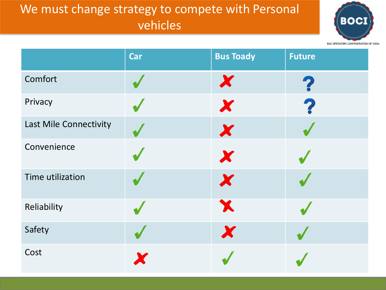### We must change strategy to compete with Personal vehicles



BUS OPERATORS CONFEDERATION OF INDIA

|                               | Car              | <b>Bus Toady</b> | <b>Future</b> |
|-------------------------------|------------------|------------------|---------------|
| Comfort                       |                  | $\bm{x}$         | ?             |
| Privacy                       |                  | $\bm{X}$         | ?             |
| <b>Last Mile Connectivity</b> |                  | $\bm{X}$         |               |
| Convenience                   |                  | $\bm{X}$         |               |
| Time utilization              |                  | $\bm{X}$         |               |
| Reliability                   |                  | X                |               |
| Safety                        |                  | $\bm{X}$         |               |
| Cost                          | $\boldsymbol{X}$ |                  |               |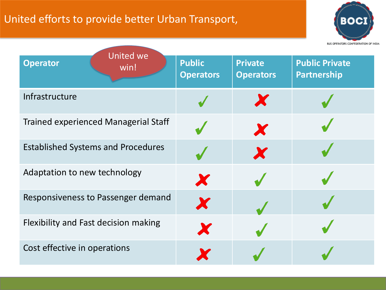

BUS OPERATORS CONFEDERATION OF INDIA

| United we<br><b>Operator</b><br>win!        | <b>Public</b><br><b>Operators</b> | <b>Private</b><br><b>Operators</b> | <b>Public Private</b><br><b>Partnership</b> |
|---------------------------------------------|-----------------------------------|------------------------------------|---------------------------------------------|
| Infrastructure                              |                                   | X                                  |                                             |
| <b>Trained experienced Managerial Staff</b> |                                   | $\boldsymbol{X}$                   |                                             |
| <b>Established Systems and Procedures</b>   |                                   | X                                  |                                             |
| Adaptation to new technology                | X                                 |                                    |                                             |
| <b>Responsiveness to Passenger demand</b>   | $\boldsymbol{\chi}$               |                                    |                                             |
| <b>Flexibility and Fast decision making</b> | X                                 |                                    |                                             |
| Cost effective in operations                | $\boldsymbol{X}$                  |                                    |                                             |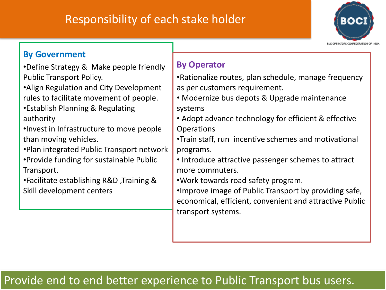### Responsibility of each stake holder



#### **By Government**

•Define Strategy & Make people friendly Public Transport Policy.

•Align Regulation and City Development rules to facilitate movement of people.

•Establish Planning & Regulating authority

•Invest in Infrastructure to move people than moving vehicles.

•Plan integrated Public Transport network •Provide funding for sustainable Public

Transport.

•Facilitate establishing R&D ,Training & Skill development centers

#### **By Operator**

•Rationalize routes, plan schedule, manage frequency as per customers requirement.

- Modernize bus depots & Upgrade maintenance systems
- Adopt advance technology for efficient & effective **Operations**
- •Train staff, run incentive schemes and motivational programs.
- Introduce attractive passenger schemes to attract more commuters.
- •Work towards road safety program.

•Improve image of Public Transport by providing safe, economical, efficient, convenient and attractive Public transport systems.

### Provide end to end better experience to Public Transport bus users.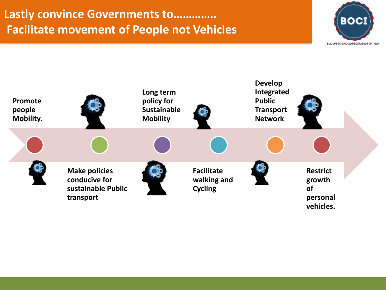